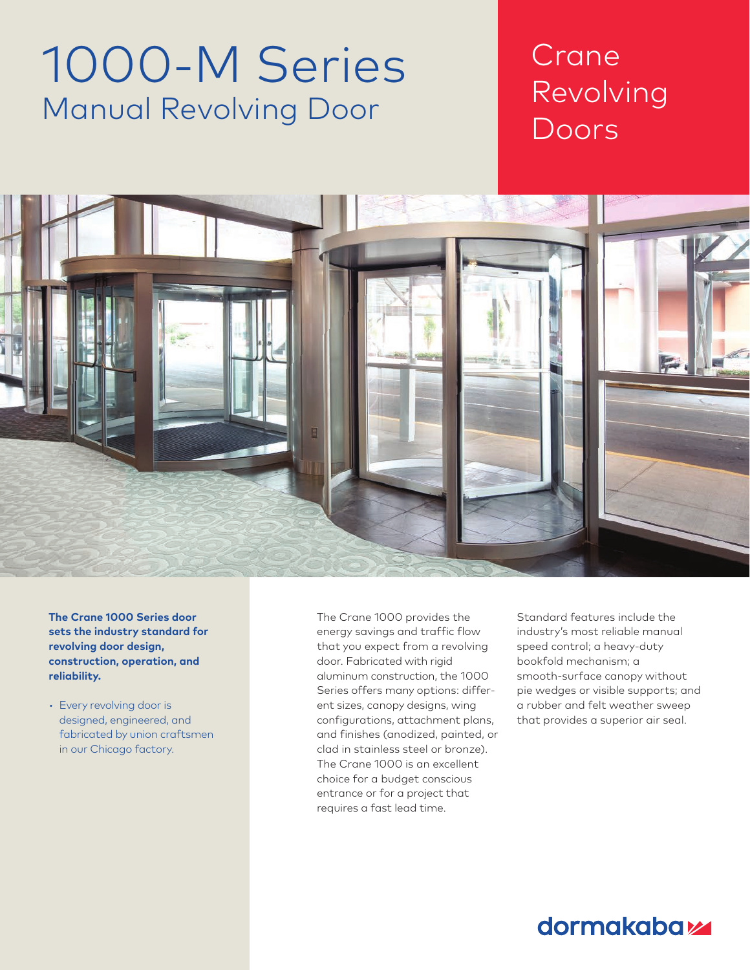# 1000-M Series Manual Revolving Door

## Crane Revolving Doors

Chapter Title Section Title



**The Crane 1000 Series door sets the industry standard for revolving door design, construction, operation, and reliability.**

• Every revolving door is designed, engineered, and fabricated by union craftsmen in our Chicago factory.

The Crane 1000 provides the energy savings and traffic flow that you expect from a revolving door. Fabricated with rigid aluminum construction, the 1000 Series offers many options: different sizes, canopy designs, wing configurations, attachment plans, and finishes (anodized, painted, or clad in stainless steel or bronze). The Crane 1000 is an excellent choice for a budget conscious entrance or for a project that requires a fast lead time.

Standard features include the industry's most reliable manual speed control; a heavy-duty bookfold mechanism; a smooth-surface canopy without pie wedges or visible supports; and a rubber and felt weather sweep that provides a superior air seal.

### dormakaba<sub>k</sub>